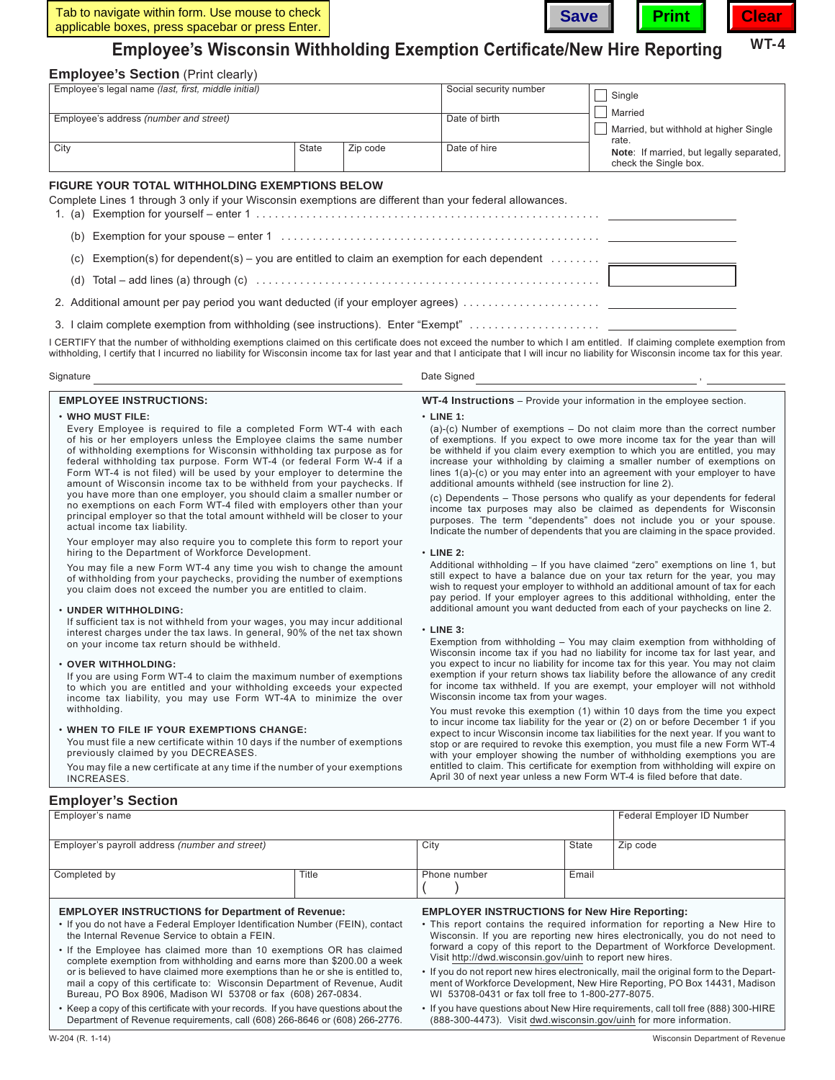

# **Employee's Wisconsin Withholding Exemption Certificate/New Hire Reporting**

# **Employee's Section** (Print clearly)

| Employee's legal name (last, first, middle initial)                                                                                                                      |                   | Social security number | Single                                                            |  |  |
|--------------------------------------------------------------------------------------------------------------------------------------------------------------------------|-------------------|------------------------|-------------------------------------------------------------------|--|--|
| Employee's address (number and street)                                                                                                                                   |                   | Date of birth          | Married<br>Married, but withhold at higher Single<br>rate.        |  |  |
| City                                                                                                                                                                     | State<br>Zip code | Date of hire           | Note: If married, but legally separated,<br>check the Single box. |  |  |
| <b>FIGURE YOUR TOTAL WITHHOLDING EXEMPTIONS BELOW</b><br>Complete Lines 1 through 3 only if your Wisconsin exemptions are different than your federal allowances.<br>(b) |                   |                        |                                                                   |  |  |
| Exemption(s) for dependent(s) – you are entitled to claim an exemption for each dependent $\ldots \ldots \ldots$<br>(C)                                                  |                   |                        |                                                                   |  |  |
| (d)                                                                                                                                                                      |                   |                        |                                                                   |  |  |
|                                                                                                                                                                          |                   |                        |                                                                   |  |  |
|                                                                                                                                                                          |                   |                        |                                                                   |  |  |

I CERTIFY that the number of withholding exemptions claimed on this certificate does not exceed the number to which I am entitled. If claiming complete exemption from withholding, I certify that I incurred no liability for Wisconsin income tax for last year and that I anticipate that I will incur no liability for Wisconsin income tax for this year.

| Signature | Date Signed |  |
|-----------|-------------|--|
|-----------|-------------|--|

### **EMPLOYEE INSTRUCTIONS:**

## • **WHO MUST FILE:**

 Every Employee is required to file a completed Form WT-4 with each of his or her employers unless the Employee claims the same number of withholding exemptions for Wisconsin withholding tax purpose as for federal withholding tax purpose. Form WT-4 (or federal Form W-4 if a Form WT-4 is not filed) will be used by your employer to determine the amount of Wisconsin income tax to be withheld from your paychecks. If you have more than one employer, you should claim a smaller number or no exemptions on each Form WT-4 filed with employers other than your principal employer so that the total amount withheld will be closer to your actual income tax liability.

 Your employer may also require you to complete this form to report your hiring to the Department of Workforce Development.

 You may file a new Form WT-4 any time you wish to change the amount of withholding from your paychecks, providing the number of exemptions you claim does not exceed the number you are entitled to claim.

#### • **UNDER WITHHOLDING:**

 If sufficient tax is not withheld from your wages, you may incur additional interest charges under the tax laws. In general, 90% of the net tax shown on your income tax return should be withheld.

#### • **OVER WITHHOLDING:**

 If you are using Form WT-4 to claim the maximum number of exemptions to which you are entitled and your withholding exceeds your expected income tax liability, you may use Form WT-4A to minimize the over withholding.

#### • **WHEN TO FILE IF YOUR EXEMPTIONS CHANGE:**

 You must file a new certificate within 10 days if the number of exemptions previously claimed by you DECREASES.

 You may file a new certificate at any time if the number of your exemptions **INCREASES** 

**WT-4 Instructions** – Provide your information in the employee section.

#### • **LINE 1:**

| $(a)-(c)$ Number of exemptions $-$ Do not claim more than the correct number    |
|---------------------------------------------------------------------------------|
| of exemptions. If you expect to owe more income tax for the year than will      |
| be withheld if you claim every exemption to which you are entitled, you may     |
| increase your withholding by claiming a smaller number of exemptions on         |
| lines $1(a)$ -(c) or you may enter into an agreement with your employer to have |
| additional amounts withheld (see instruction for line 2).                       |

 (c) Dependents – Those persons who qualify as your dependents for federal income tax purposes may also be claimed as dependents for Wisconsin purposes. The term "dependents" does not include you or your spouse. Indicate the number of dependents that you are claiming in the space provided.

• **LINE 2:**

 Additional withholding – If you have claimed "zero" exemptions on line 1, but still expect to have a balance due on your tax return for the year, you may wish to request your employer to withhold an additional amount of tax for each pay period. If your employer agrees to this additional withholding, enter the additional amount you want deducted from each of your paychecks on line 2.

#### • **LINE 3:**

 Exemption from withholding – You may claim exemption from withholding of Wisconsin income tax if you had no liability for income tax for last year, and you expect to incur no liability for income tax for this year. You may not claim exemption if your return shows tax liability before the allowance of any credit for income tax withheld. If you are exempt, your employer will not withhold Wisconsin income tax from your wages.

 You must revoke this exemption (1) within 10 days from the time you expect to incur income tax liability for the year or (2) on or before December 1 if you expect to incur Wisconsin income tax liabilities for the next year. If you want to stop or are required to revoke this exemption, you must file a new Form WT‑4 with your employer showing the number of withholding exemptions you are entitled to claim. This certificate for exemption from withholding will expire on April 30 of next year unless a new Form WT‑4 is filed before that date.

# **Employer's Section**

| Employer's name                                                                                                                 |                                                      |                                                                                                                                                                                                                                         | Federal Employer ID Number |          |
|---------------------------------------------------------------------------------------------------------------------------------|------------------------------------------------------|-----------------------------------------------------------------------------------------------------------------------------------------------------------------------------------------------------------------------------------------|----------------------------|----------|
|                                                                                                                                 |                                                      |                                                                                                                                                                                                                                         |                            |          |
| Employer's payroll address (number and street)                                                                                  |                                                      | City                                                                                                                                                                                                                                    | State                      | Zip code |
|                                                                                                                                 |                                                      |                                                                                                                                                                                                                                         |                            |          |
| Completed by                                                                                                                    | Title                                                | Phone number                                                                                                                                                                                                                            | Email                      |          |
|                                                                                                                                 |                                                      |                                                                                                                                                                                                                                         |                            |          |
| <b>EMPLOYER INSTRUCTIONS for Department of Revenue:</b>                                                                         | <b>EMPLOYER INSTRUCTIONS for New Hire Reporting:</b> |                                                                                                                                                                                                                                         |                            |          |
| • If you do not have a Federal Employer Identification Number (FEIN), contact<br>the Internal Revenue Service to obtain a FEIN. |                                                      | • This report contains the required information for reporting a New Hire to<br>Wisconsin. If you are reporting new hires electronically, you do not need to<br>forward a conv of this report to the Department of Werkforce Douglooment |                            |          |

| • If the Employee has claimed more than 10 exemptions OR has claimed          |
|-------------------------------------------------------------------------------|
| complete exemption from withholding and earns more than \$200.00 a week       |
| or is believed to have claimed more exemptions than he or she is entitled to. |
| mail a copy of this certificate to: Wisconsin Department of Revenue, Audit    |
| Bureau, PO Box 8906, Madison WI 53708 or fax (608) 267-0834.                  |

- Keep a copy of this certificate with your records. If you have questions about the Department of Revenue requirements, call (608) 266‑8646 or (608) 266‑2776.
- forward a copy of this report to the Department of Workforce Development. Visit [http://dwd.wisconsin.gov/uinh](http://www.dwd.wisconsin.gov/uinh) to report new hires.
- If you do not report new hires electronically, mail the original form to the Department of Workforce Development, New Hire Reporting, PO Box 14431, Madison WI 53708-0431 or fax toll free to 1‑800‑277‑8075.
- If you have questions about New Hire requirements, call toll free (888) 300-HIRE (888‑300‑4473). Visit [dwd.wisconsin.gov/uinh](http://www.dwd.wisconsin.gov/uinh) for more information.